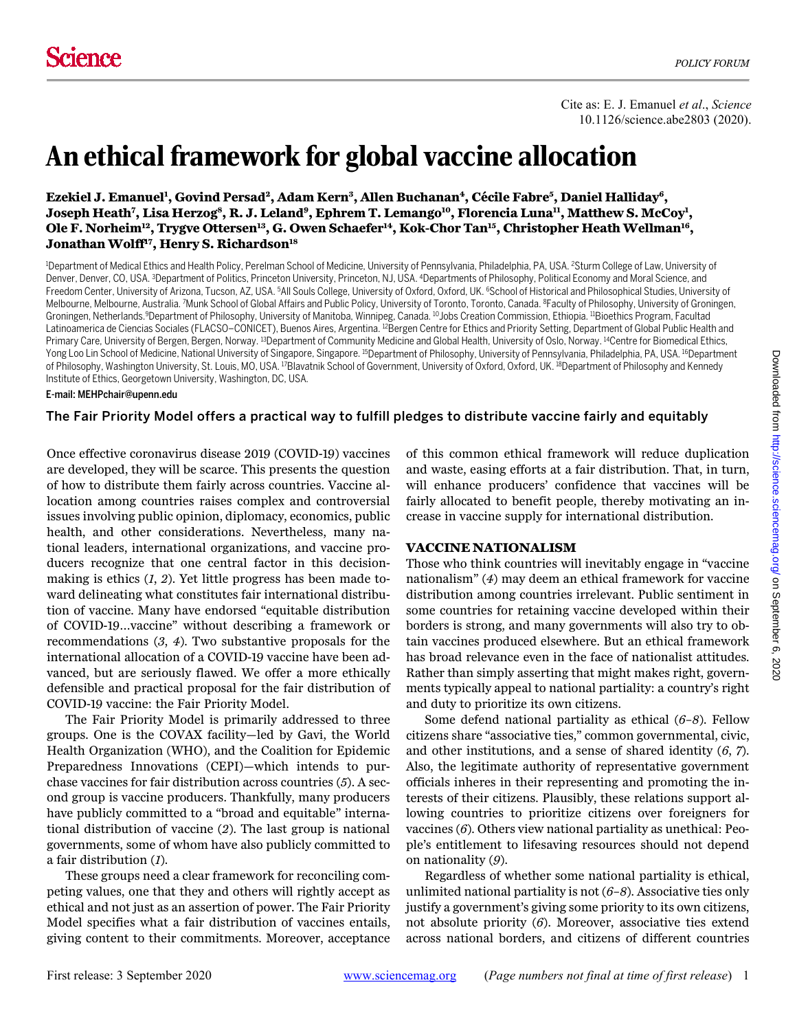# An ethical framework for global vaccine allocation

Ezekiel J. Emanuel<sup>1</sup>, Govind Persad<sup>2</sup>, Adam Kern<sup>3</sup>, Allen Buchanan<sup>4</sup>, Cécile Fabre<sup>5</sup>, Daniel Halliday<sup>6</sup>,  ${\bf J}$ oseph Heath $^7$ , Lisa Herzog $^8$ , R. J. Leland $^9$ , Ephrem T. Lemango $^{10}$ , Florencia Luna $^{11}$ , Matthew S. McCoy $^1$ , Ole F. Norheim<sup>12</sup>, Trygve Ottersen<sup>13</sup>, G. Owen Schaefer<sup>14</sup>, Kok-Chor Tan<sup>15</sup>, Christopher Heath Wellman<sup>16</sup>, Jonathan Wolff<sup>17</sup>, Henry S. Richardson<sup>18</sup>

1 Department of Medical Ethics and Health Policy, Perelman School of Medicine, University of Pennsylvania, Philadelphia, PA, USA. 2Sturm College of Law, University of Denver, Denver, CO, USA. <sup>3</sup>Department of Politics, Princeton University, Princeton, NJ, USA. <sup>4</sup>Departments of Philosophy, Political Economy and Moral Science, and Freedom Center, University of Arizona, Tucson, AZ, USA. 5All Souls College, University of Oxford, Oxford, UK. <sup>6</sup>School of Historical and Philosophical Studies, University of Melbourne, Melbourne, Australia. <sup>7</sup>Munk School of Global Affairs and Public Policy, University of Toronto, Toronto, Canada. <sup>8</sup>Faculty of Philosophy, University of Groningen, Groningen, Netherlands.®Department of Philosophy, University of Manitoba, Winnipeg, Canada. <u>10Jobs Creation Commission, Ethiopia. 11Bioethics Program, Facultad</u> Latinoamerica de Ciencias Sociales (FLACSO–CONICET), Buenos Aires, Argentina. <sup>12</sup>Bergen Centre for Ethics and Priority Setting, Department of Global Public Health and Primary Care, University of Bergen, Bergen, Norway. <sup>13</sup>Department of Community Medicine and Global Health, University of Oslo, Norway. <sup>14</sup>Centre for Biomedical Ethics, Yong Loo Lin School of Medicine, National University of Singapore, Singapore. <sup>15</sup>Department of Philosophy, University of Pennsylvania, Philadelphia, PA, USA. <sup>16</sup>Department of Philosophy, Washington University, St. Louis, MO, USA. <sup>17</sup>Blavatnik School of Government, University of Oxford, Oxford, UK. <sup>18</sup>Department of Philosophy and Kennedy Institute of Ethics, Georgetown University, Washington, DC, USA.

#### E-mail: MEHPchair@upenn.edu

# The Fair Priority Model offers a practical way to fulfill pledges to distribute vaccine fairly and equitably

Once effective coronavirus disease 2019 (COVID-19) vaccines are developed, they will be scarce. This presents the question of how to distribute them fairly across countries. Vaccine allocation among countries raises complex and controversial issues involving public opinion, diplomacy, economics, public health, and other considerations. Nevertheless, many national leaders, international organizations, and vaccine producers recognize that one central factor in this decisionmaking is ethics (*1*, *2*). Yet little progress has been made toward delineating what constitutes fair international distribution of vaccine. Many have endorsed "equitable distribution of COVID-19…vaccine" without describing a framework or recommendations (*3*, *4*). Two substantive proposals for the international allocation of a COVID-19 vaccine have been advanced, but are seriously flawed. We offer a more ethically defensible and practical proposal for the fair distribution of COVID-19 vaccine: the Fair Priority Model.

The Fair Priority Model is primarily addressed to three groups. One is the COVAX facility—led by Gavi, the World Health Organization (WHO), and the Coalition for Epidemic Preparedness Innovations (CEPI)—which intends to purchase vaccines for fair distribution across countries (*5*). A second group is vaccine producers. Thankfully, many producers have publicly committed to a "broad and equitable" international distribution of vaccine (*2*). The last group is national governments, some of whom have also publicly committed to a fair distribution (*1*).

These groups need a clear framework for reconciling competing values, one that they and others will rightly accept as ethical and not just as an assertion of power. The Fair Priority Model specifies what a fair distribution of vaccines entails, giving content to their commitments. Moreover, acceptance of this common ethical framework will reduce duplication and waste, easing efforts at a fair distribution. That, in turn, will enhance producers' confidence that vaccines will be fairly allocated to benefit people, thereby motivating an increase in vaccine supply for international distribution.

#### **VACCINE NATIONALISM**

Those who think countries will inevitably engage in "vaccine nationalism" (*4*) may deem an ethical framework for vaccine distribution among countries irrelevant. Public sentiment in some countries for retaining vaccine developed within their borders is strong, and many governments will also try to obtain vaccines produced elsewhere. But an ethical framework has broad relevance even in the face of nationalist attitudes. Rather than simply asserting that might makes right, governments typically appeal to national partiality: a country's right and duty to prioritize its own citizens.

Some defend national partiality as ethical (*6*–*8*). Fellow citizens share "associative ties," common governmental, civic, and other institutions, and a sense of shared identity (*6*, *7*). Also, the legitimate authority of representative government officials inheres in their representing and promoting the interests of their citizens. Plausibly, these relations support allowing countries to prioritize citizens over foreigners for vaccines (*6*). Others view national partiality as unethical: People's entitlement to lifesaving resources should not depend on nationality (*9*).

Regardless of whether some national partiality is ethical, unlimited national partiality is not (*6*–*8*). Associative ties only justify a government's giving some priority to its own citizens, not absolute priority (*6*). Moreover, associative ties extend across national borders, and citizens of different countries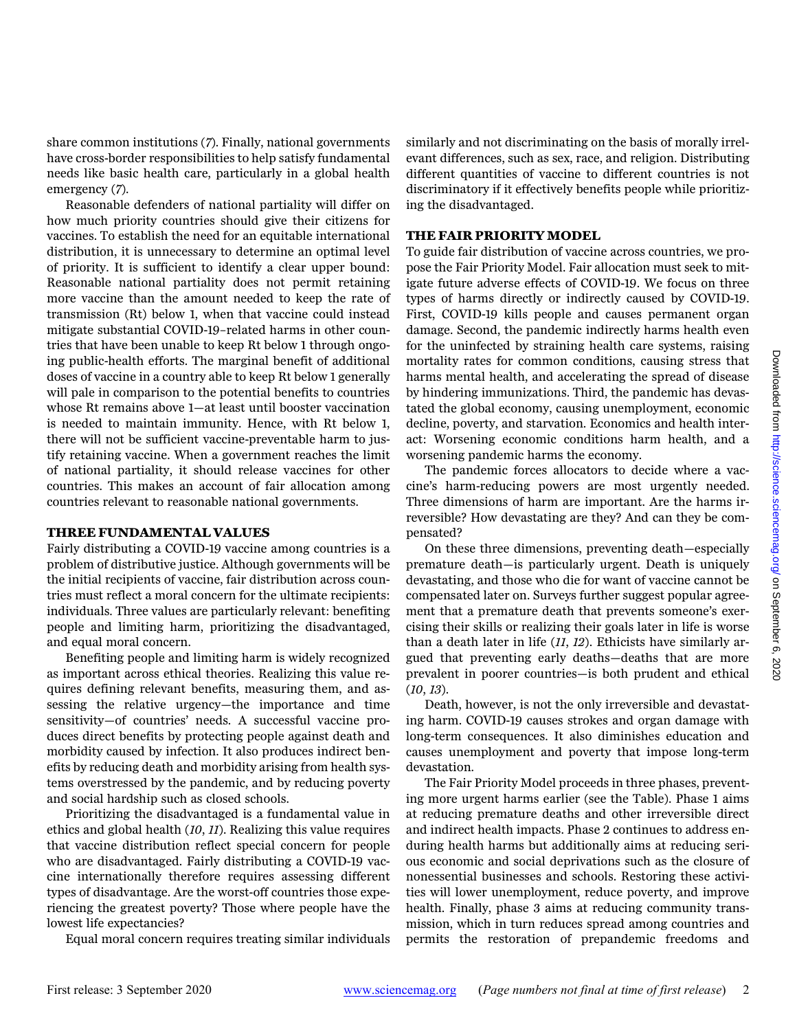2020

share common institutions (*7*). Finally, national governments have cross-border responsibilities to help satisfy fundamental needs like basic health care, particularly in a global health emergency (*7*).

Reasonable defenders of national partiality will differ on how much priority countries should give their citizens for vaccines. To establish the need for an equitable international distribution, it is unnecessary to determine an optimal level of priority. It is sufficient to identify a clear upper bound: Reasonable national partiality does not permit retaining more vaccine than the amount needed to keep the rate of transmission (Rt) below 1, when that vaccine could instead mitigate substantial COVID-19–related harms in other countries that have been unable to keep Rt below 1 through ongoing public-health efforts. The marginal benefit of additional doses of vaccine in a country able to keep Rt below 1 generally will pale in comparison to the potential benefits to countries whose Rt remains above 1—at least until booster vaccination is needed to maintain immunity. Hence, with Rt below 1, there will not be sufficient vaccine-preventable harm to justify retaining vaccine. When a government reaches the limit of national partiality, it should release vaccines for other countries. This makes an account of fair allocation among countries relevant to reasonable national governments.

#### **THREE FUNDAMENTAL VALUES**

Fairly distributing a COVID-19 vaccine among countries is a problem of distributive justice. Although governments will be the initial recipients of vaccine, fair distribution across countries must reflect a moral concern for the ultimate recipients: individuals. Three values are particularly relevant: benefiting people and limiting harm, prioritizing the disadvantaged, and equal moral concern.

Benefiting people and limiting harm is widely recognized as important across ethical theories. Realizing this value requires defining relevant benefits, measuring them, and assessing the relative urgency—the importance and time sensitivity—of countries' needs. A successful vaccine produces direct benefits by protecting people against death and morbidity caused by infection. It also produces indirect benefits by reducing death and morbidity arising from health systems overstressed by the pandemic, and by reducing poverty and social hardship such as closed schools.

Prioritizing the disadvantaged is a fundamental value in ethics and global health (*10*, *11*). Realizing this value requires that vaccine distribution reflect special concern for people who are disadvantaged. Fairly distributing a COVID-19 vaccine internationally therefore requires assessing different types of disadvantage. Are the worst-off countries those experiencing the greatest poverty? Those where people have the lowest life expectancies?

Equal moral concern requires treating similar individuals

similarly and not discriminating on the basis of morally irrelevant differences, such as sex, race, and religion. Distributing different quantities of vaccine to different countries is not discriminatory if it effectively benefits people while prioritizing the disadvantaged.

# **THE FAIR PRIORITY MODEL**

To guide fair distribution of vaccine across countries, we propose the Fair Priority Model. Fair allocation must seek to mitigate future adverse effects of COVID-19. We focus on three types of harms directly or indirectly caused by COVID-19. First, COVID-19 kills people and causes permanent organ damage. Second, the pandemic indirectly harms health even for the uninfected by straining health care systems, raising mortality rates for common conditions, causing stress that harms mental health, and accelerating the spread of disease by hindering immunizations. Third, the pandemic has devastated the global economy, causing unemployment, economic decline, poverty, and starvation. Economics and health interact: Worsening economic conditions harm health, and a worsening pandemic harms the economy.

The pandemic forces allocators to decide where a vaccine's harm-reducing powers are most urgently needed. Three dimensions of harm are important. Are the harms irreversible? How devastating are they? And can they be compensated?

On these three dimensions, preventing death—especially premature death—is particularly urgent. Death is uniquely devastating, and those who die for want of vaccine cannot be compensated later on. Surveys further suggest popular agreement that a premature death that prevents someone's exercising their skills or realizing their goals later in life is worse than a death later in life (*11*, *12*). Ethicists have similarly argued that preventing early deaths—deaths that are more prevalent in poorer countries—is both prudent and ethical (*10*, *13*).

Death, however, is not the only irreversible and devastating harm. COVID-19 causes strokes and organ damage with long-term consequences. It also diminishes education and causes unemployment and poverty that impose long-term devastation.

The Fair Priority Model proceeds in three phases, preventing more urgent harms earlier (see the Table). Phase 1 aims at reducing premature deaths and other irreversible direct and indirect health impacts. Phase 2 continues to address enduring health harms but additionally aims at reducing serious economic and social deprivations such as the closure of nonessential businesses and schools. Restoring these activities will lower unemployment, reduce poverty, and improve health. Finally, phase 3 aims at reducing community transmission, which in turn reduces spread among countries and permits the restoration of prepandemic freedoms and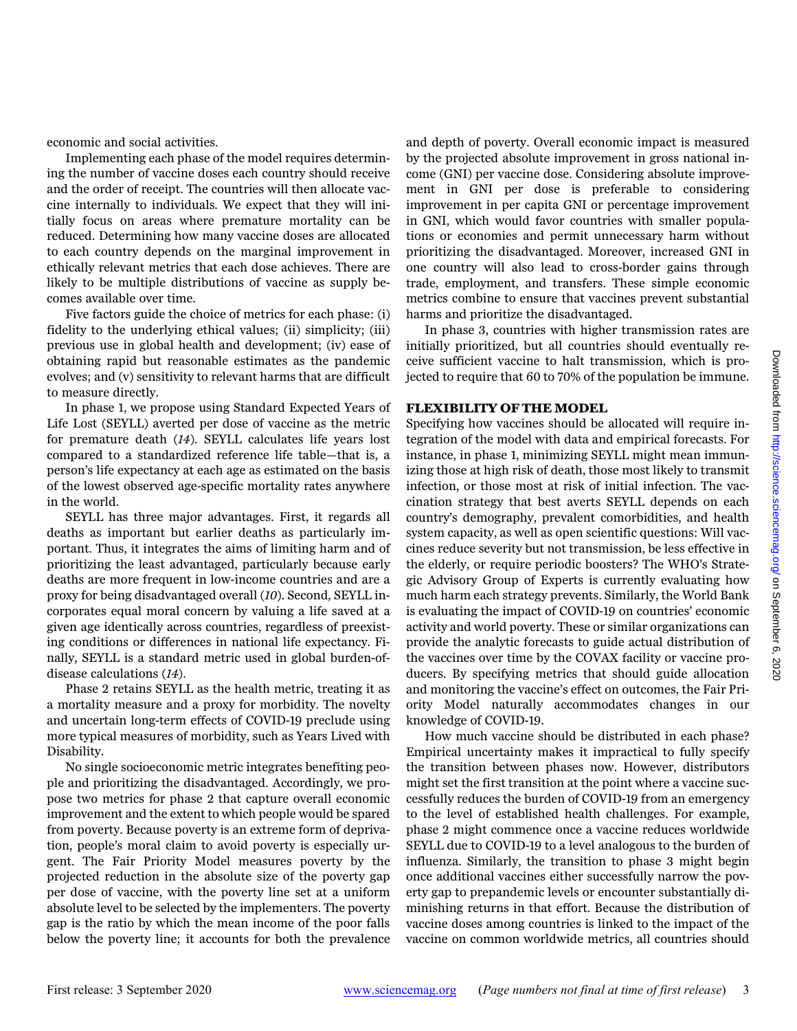economic and social activities.

Implementing each phase of the model requires determining the number of vaccine doses each country should receive and the order of receipt. The countries will then allocate vaccine internally to individuals. We expect that they will initially focus on areas where premature mortality can be reduced. Determining how many vaccine doses are allocated to each country depends on the marginal improvement in ethically relevant metrics that each dose achieves. There are likely to be multiple distributions of vaccine as supply becomes available over time.

Five factors guide the choice of metrics for each phase: (i) fidelity to the underlying ethical values; (ii) simplicity; (iii) previous use in global health and development; (iv) ease of obtaining rapid but reasonable estimates as the pandemic evolves; and (v) sensitivity to relevant harms that are difficult to measure directly.

In phase 1, we propose using Standard Expected Years of Life Lost (SEYLL) averted per dose of vaccine as the metric for premature death (*14*). SEYLL calculates life years lost compared to a standardized reference life table—that is, a person's life expectancy at each age as estimated on the basis of the lowest observed age-specific mortality rates anywhere in the world.

SEYLL has three major advantages. First, it regards all deaths as important but earlier deaths as particularly important. Thus, it integrates the aims of limiting harm and of prioritizing the least advantaged, particularly because early deaths are more frequent in low-income countries and are a proxy for being disadvantaged overall (*10*). Second, SEYLL incorporates equal moral concern by valuing a life saved at a given age identically across countries, regardless of preexisting conditions or differences in national life expectancy. Finally, SEYLL is a standard metric used in global burden-ofdisease calculations (*14*).

Phase 2 retains SEYLL as the health metric, treating it as a mortality measure and a proxy for morbidity. The novelty and uncertain long-term effects of COVID-19 preclude using more typical measures of morbidity, such as Years Lived with Disability.

No single socioeconomic metric integrates benefiting people and prioritizing the disadvantaged. Accordingly, we propose two metrics for phase 2 that capture overall economic improvement and the extent to which people would be spared from poverty. Because poverty is an extreme form of deprivation, people's moral claim to avoid poverty is especially urgent. The Fair Priority Model measures poverty by the projected reduction in the absolute size of the poverty gap per dose of vaccine, with the poverty line set at a uniform absolute level to be selected by the implementers. The poverty gap is the ratio by which the mean income of the poor falls below the poverty line; it accounts for both the prevalence

and depth of poverty. Overall economic impact is measured by the projected absolute improvement in gross national income (GNI) per vaccine dose. Considering absolute improvement in GNI per dose is preferable to considering improvement in per capita GNI or percentage improvement in GNI, which would favor countries with smaller populations or economies and permit unnecessary harm without prioritizing the disadvantaged. Moreover, increased GNI in one country will also lead to cross-border gains through trade, employment, and transfers. These simple economic metrics combine to ensure that vaccines prevent substantial harms and prioritize the disadvantaged.

In phase 3, countries with higher transmission rates are initially prioritized, but all countries should eventually receive sufficient vaccine to halt transmission, which is projected to require that 60 to 70% of the population be immune.

# **FLEXIBILITY OF THE MODEL**

Specifying how vaccines should be allocated will require integration of the model with data and empirical forecasts. For instance, in phase 1, minimizing SEYLL might mean immunizing those at high risk of death, those most likely to transmit infection, or those most at risk of initial infection. The vaccination strategy that best averts SEYLL depends on each country's demography, prevalent comorbidities, and health system capacity, as well as open scientific questions: Will vaccines reduce severity but not transmission, be less effective in the elderly, or require periodic boosters? The WHO's Strategic Advisory Group of Experts is currently evaluating how much harm each strategy prevents. Similarly, the World Bank is evaluating the impact of COVID-19 on countries' economic activity and world poverty. These or similar organizations can provide the analytic forecasts to guide actual distribution of the vaccines over time by the COVAX facility or vaccine producers. By specifying metrics that should guide allocation and monitoring the vaccine's effect on outcomes, the Fair Priority Model naturally accommodates changes in our knowledge of COVID-19.

How much vaccine should be distributed in each phase? Empirical uncertainty makes it impractical to fully specify the transition between phases now. However, distributors might set the first transition at the point where a vaccine successfully reduces the burden of COVID-19 from an emergency to the level of established health challenges. For example, phase 2 might commence once a vaccine reduces worldwide SEYLL due to COVID-19 to a level analogous to the burden of influenza. Similarly, the transition to phase 3 might begin once additional vaccines either successfully narrow the poverty gap to prepandemic levels or encounter substantially diminishing returns in that effort. Because the distribution of vaccine doses among countries is linked to the impact of the vaccine on common worldwide metrics, all countries should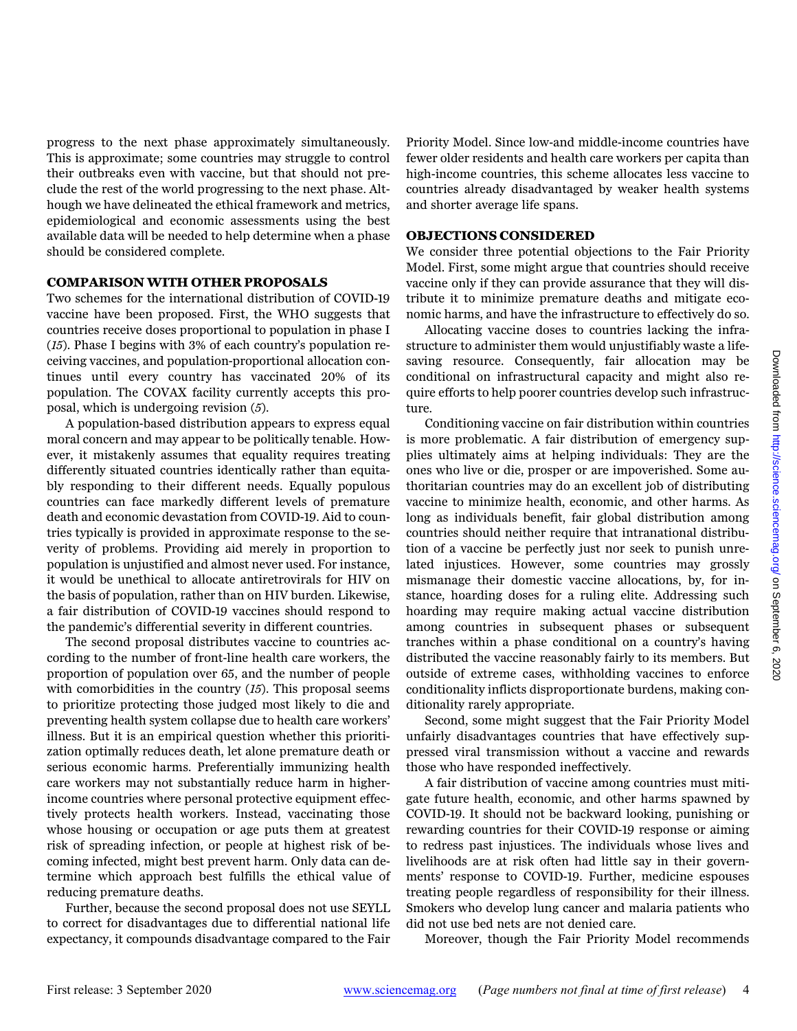2020

progress to the next phase approximately simultaneously. This is approximate; some countries may struggle to control their outbreaks even with vaccine, but that should not preclude the rest of the world progressing to the next phase. Although we have delineated the ethical framework and metrics, epidemiological and economic assessments using the best available data will be needed to help determine when a phase should be considered complete.

# **COMPARISON WITH OTHER PROPOSALS**

Two schemes for the international distribution of COVID-19 vaccine have been proposed. First, the WHO suggests that countries receive doses proportional to population in phase I (*15*). Phase I begins with 3% of each country's population receiving vaccines, and population-proportional allocation continues until every country has vaccinated 20% of its population. The COVAX facility currently accepts this proposal, which is undergoing revision (*5*).

A population-based distribution appears to express equal moral concern and may appear to be politically tenable. However, it mistakenly assumes that equality requires treating differently situated countries identically rather than equitably responding to their different needs. Equally populous countries can face markedly different levels of premature death and economic devastation from COVID-19. Aid to countries typically is provided in approximate response to the severity of problems. Providing aid merely in proportion to population is unjustified and almost never used. For instance, it would be unethical to allocate antiretrovirals for HIV on the basis of population, rather than on HIV burden. Likewise, a fair distribution of COVID-19 vaccines should respond to the pandemic's differential severity in different countries.

The second proposal distributes vaccine to countries according to the number of front-line health care workers, the proportion of population over 65, and the number of people with comorbidities in the country (*15*). This proposal seems to prioritize protecting those judged most likely to die and preventing health system collapse due to health care workers' illness. But it is an empirical question whether this prioritization optimally reduces death, let alone premature death or serious economic harms. Preferentially immunizing health care workers may not substantially reduce harm in higherincome countries where personal protective equipment effectively protects health workers. Instead, vaccinating those whose housing or occupation or age puts them at greatest risk of spreading infection, or people at highest risk of becoming infected, might best prevent harm. Only data can determine which approach best fulfills the ethical value of reducing premature deaths.

Further, because the second proposal does not use SEYLL to correct for disadvantages due to differential national life expectancy, it compounds disadvantage compared to the Fair

Priority Model. Since low-and middle-income countries have fewer older residents and health care workers per capita than high-income countries, this scheme allocates less vaccine to countries already disadvantaged by weaker health systems and shorter average life spans.

# **OBJECTIONS CONSIDERED**

We consider three potential objections to the Fair Priority Model. First, some might argue that countries should receive vaccine only if they can provide assurance that they will distribute it to minimize premature deaths and mitigate economic harms, and have the infrastructure to effectively do so.

Allocating vaccine doses to countries lacking the infrastructure to administer them would unjustifiably waste a lifesaving resource. Consequently, fair allocation may be conditional on infrastructural capacity and might also require efforts to help poorer countries develop such infrastructure.

Conditioning vaccine on fair distribution within countries is more problematic. A fair distribution of emergency supplies ultimately aims at helping individuals: They are the ones who live or die, prosper or are impoverished. Some authoritarian countries may do an excellent job of distributing vaccine to minimize health, economic, and other harms. As long as individuals benefit, fair global distribution among countries should neither require that intranational distribution of a vaccine be perfectly just nor seek to punish unrelated injustices. However, some countries may grossly mismanage their domestic vaccine allocations, by, for instance, hoarding doses for a ruling elite. Addressing such hoarding may require making actual vaccine distribution among countries in subsequent phases or subsequent tranches within a phase conditional on a country's having distributed the vaccine reasonably fairly to its members. But outside of extreme cases, withholding vaccines to enforce conditionality inflicts disproportionate burdens, making conditionality rarely appropriate.

Second, some might suggest that the Fair Priority Model unfairly disadvantages countries that have effectively suppressed viral transmission without a vaccine and rewards those who have responded ineffectively.

A fair distribution of vaccine among countries must mitigate future health, economic, and other harms spawned by COVID-19. It should not be backward looking, punishing or rewarding countries for their COVID-19 response or aiming to redress past injustices. The individuals whose lives and livelihoods are at risk often had little say in their governments' response to COVID-19. Further, medicine espouses treating people regardless of responsibility for their illness. Smokers who develop lung cancer and malaria patients who did not use bed nets are not denied care.

Moreover, though the Fair Priority Model recommends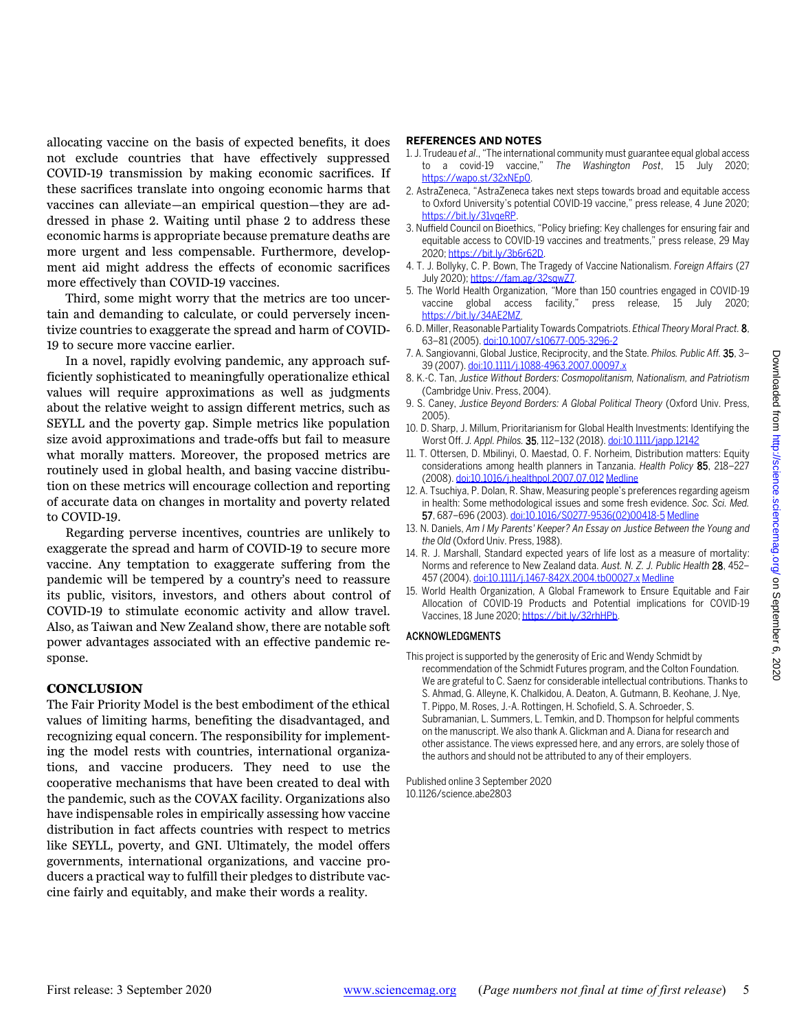allocating vaccine on the basis of expected benefits, it does not exclude countries that have effectively suppressed COVID-19 transmission by making economic sacrifices. If these sacrifices translate into ongoing economic harms that vaccines can alleviate—an empirical question—they are addressed in phase 2. Waiting until phase 2 to address these economic harms is appropriate because premature deaths are more urgent and less compensable. Furthermore, development aid might address the effects of economic sacrifices more effectively than COVID-19 vaccines.

Third, some might worry that the metrics are too uncertain and demanding to calculate, or could perversely incentivize countries to exaggerate the spread and harm of COVID-19 to secure more vaccine earlier.

In a novel, rapidly evolving pandemic, any approach sufficiently sophisticated to meaningfully operationalize ethical values will require approximations as well as judgments about the relative weight to assign different metrics, such as SEYLL and the poverty gap. Simple metrics like population size avoid approximations and trade-offs but fail to measure what morally matters. Moreover, the proposed metrics are routinely used in global health, and basing vaccine distribution on these metrics will encourage collection and reporting of accurate data on changes in mortality and poverty related to COVID-19.

Regarding perverse incentives, countries are unlikely to exaggerate the spread and harm of COVID-19 to secure more vaccine. Any temptation to exaggerate suffering from the pandemic will be tempered by a country's need to reassure its public, visitors, investors, and others about control of COVID-19 to stimulate economic activity and allow travel. Also, as Taiwan and New Zealand show, there are notable soft power advantages associated with an effective pandemic response.

# **CONCLUSION**

The Fair Priority Model is the best embodiment of the ethical values of limiting harms, benefiting the disadvantaged, and recognizing equal concern. The responsibility for implementing the model rests with countries, international organizations, and vaccine producers. They need to use the cooperative mechanisms that have been created to deal with the pandemic, such as the COVAX facility. Organizations also have indispensable roles in empirically assessing how vaccine distribution in fact affects countries with respect to metrics like SEYLL, poverty, and GNI. Ultimately, the model offers governments, international organizations, and vaccine producers a practical way to fulfill their pledges to distribute vaccine fairly and equitably, and make their words a reality.

#### **REFERENCES AND NOTES**

- 1. J. Trudeau *et al*., "The international community must guarantee equal global access to a covid-19 vaccine," *The Washington Post*, 15 July 2020; [https://wapo.st/32xNEp0.](https://wapo.st/32xNEp0)
- 2. AstraZeneca, "AstraZeneca takes next steps towards broad and equitable access to Oxford University's potential COVID-19 vaccine," press release, 4 June 2020; https://bit.lv/31vaeRP.
- 3. Nuffield Council on Bioethics, "Policy briefing: Key challenges for ensuring fair and equitable access to COVID-19 vaccines and treatments," press release, 29 May 2020[; https://bit.ly/3b6r62D.](https://bit.ly/3b6r62D)
- 4. T. J. Bollyky, C. P. Bown, The Tragedy of Vaccine Nationalism. *Foreign Affairs* (27 July 2020)[; https://fam.ag/32sqwZ7.](https://fam.ag/32sqwZ7)
- 5. The World Health Organization, "More than 150 countries engaged in COVID-19 vaccine global access facility," press release, 15 July 2020; [https://bit.ly/34AE2MZ.](https://bit.ly/34AE2MZ)
- 6. D. Miller, Reasonable Partiality Towards Compatriots. *Ethical Theory Moral Pract.* 8, 63–81 (2005)[. doi:10.1007/s10677-005-3296-2](http://dx.doi.org/10.1007/s10677-005-3296-2)
- 7. A. Sangiovanni, Global Justice, Reciprocity, and the State. *Philos. Public Aff.* 35, 3– 39 (2007)[. doi:10.1111/j.1088-4963.2007.00097.x](http://dx.doi.org/10.1111/j.1088-4963.2007.00097.x)
- 8. K.-C. Tan, *Justice Without Borders: Cosmopolitanism, Nationalism, and Patriotism* (Cambridge Univ. Press, 2004).
- 9. S. Caney, *Justice Beyond Borders: A Global Political Theory* (Oxford Univ. Press, 2005).
- 10. D. Sharp, J. Millum, Prioritarianism for Global Health Investments: Identifying the Worst Off. *J. Appl. Philos.* 35, 112–132 (2018)[. doi:10.1111/japp.12142](http://dx.doi.org/10.1111/japp.12142)
- 11. T. Ottersen, D. Mbilinyi, O. Maestad, O. F. Norheim, Distribution matters: Equity considerations among health planners in Tanzania. *Health Policy* 85, 218–227 (2008)[. doi:10.1016/j.healthpol.2007.07.012](http://dx.doi.org/10.1016/j.healthpol.2007.07.012) [Medline](http://www.ncbi.nlm.nih.gov/entrez/query.fcgi?cmd=Retrieve&db=PubMed&list_uids=17825939&dopt=Abstract)
- 12. A. Tsuchiya, P. Dolan, R. Shaw, Measuring people's preferences regarding ageism in health: Some methodological issues and some fresh evidence. *Soc. Sci. Med.* 57, 687–696 (2003)[. doi:10.1016/S0277-9536\(02\)00418-5](http://dx.doi.org/10.1016/S0277-9536(02)00418-5) [Medline](http://www.ncbi.nlm.nih.gov/entrez/query.fcgi?cmd=Retrieve&db=PubMed&list_uids=12821016&dopt=Abstract)
- 13. N. Daniels, *Am I My Parents' Keeper? An Essay on Justice Between the Young and the Old* (Oxford Univ. Press, 1988).
- 14. R. J. Marshall, Standard expected years of life lost as a measure of mortality: Norms and reference to New Zealand data. *Aust. N. Z. J. Public Health* 28, 452– 457 (2004)[. doi:10.1111/j.1467-842X.2004.tb00027.x](http://dx.doi.org/10.1111/j.1467-842X.2004.tb00027.x) [Medline](http://www.ncbi.nlm.nih.gov/entrez/query.fcgi?cmd=Retrieve&db=PubMed&list_uids=15707187&dopt=Abstract)
- 15. World Health Organization, A Global Framework to Ensure Equitable and Fair Allocation of COVID-19 Products and Potential implications for COVID-19 Vaccines, 18 June 2020; https://bit.ly/32rhHPb.

#### ACKNOWLEDGMENTS

This project is supported by the generosity of Eric and Wendy Schmidt by recommendation of the Schmidt Futures program, and the Colton Foundation. We are grateful to C. Saenz for considerable intellectual contributions. Thanks to S. Ahmad, G. Alleyne, K. Chalkidou, A. Deaton, A. Gutmann, B. Keohane, J. Nye, T. Pippo, M. Roses, J.-A. Rottingen, H. Schofield, S. A. Schroeder, S. Subramanian, L. Summers, L. Temkin, and D. Thompson for helpful comments on the manuscript. We also thank A. Glickman and A. Diana for research and other assistance. The views expressed here, and any errors, are solely those of the authors and should not be attributed to any of their employers.

Published online 3 September 2020 10.1126/science.abe2803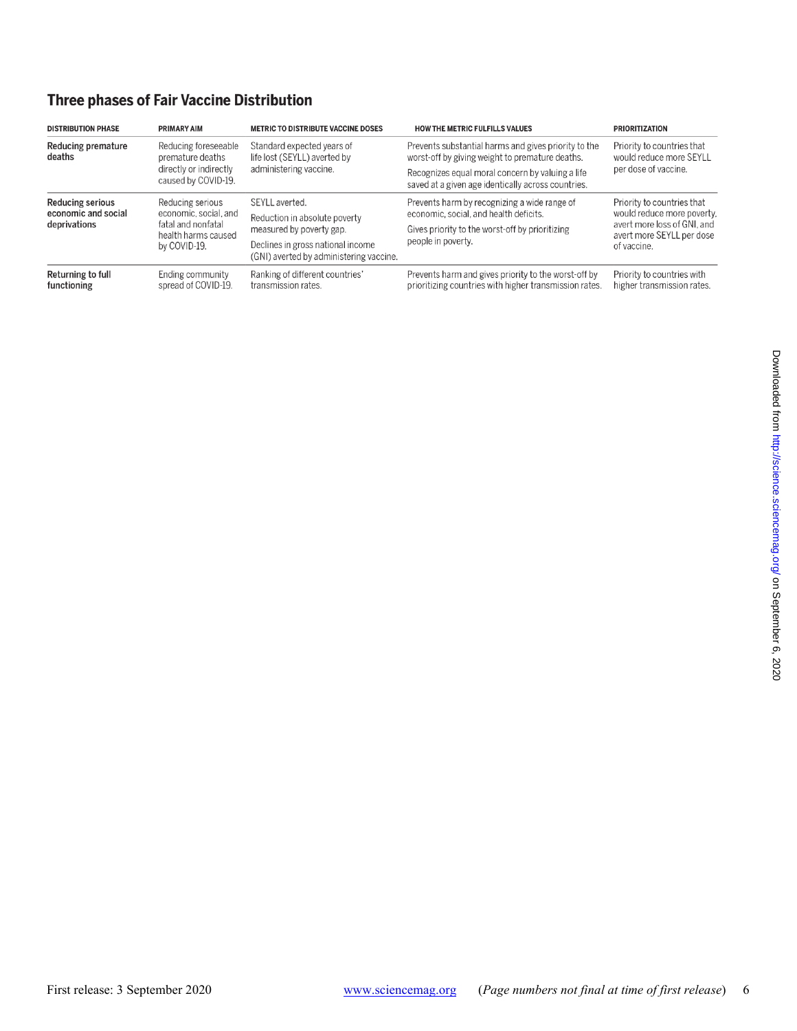# Three phases of Fair Vaccine Distribution

| <b>DISTRIBUTION PHASE</b>                                      | <b>PRIMARY AIM</b>                                                                                     | <b>METRIC TO DISTRIBUTE VACCINE DOSES</b>                                            | <b>HOW THE METRIC FULFILLS VALUES</b>                                                                          | <b>PRIORITIZATION</b>                                                                                                               |
|----------------------------------------------------------------|--------------------------------------------------------------------------------------------------------|--------------------------------------------------------------------------------------|----------------------------------------------------------------------------------------------------------------|-------------------------------------------------------------------------------------------------------------------------------------|
| Reducing premature<br>deaths                                   | Reducing foreseeable<br>premature deaths<br>directly or indirectly<br>caused by COVID-19.              | Standard expected years of<br>life lost (SEYLL) averted by<br>administering vaccine. | Prevents substantial harms and gives priority to the<br>worst-off by giving weight to premature deaths.        | Priority to countries that<br>would reduce more SEYLL<br>per dose of vaccine.                                                       |
|                                                                |                                                                                                        |                                                                                      | Recognizes equal moral concern by valuing a life<br>saved at a given age identically across countries.         |                                                                                                                                     |
| <b>Reducing serious</b><br>economic and social<br>deprivations | Reducing serious<br>economic, social, and<br>fatal and nonfatal<br>health harms caused<br>by COVID-19. | SEYLL averted.<br>Reduction in absolute poverty                                      | Prevents harm by recognizing a wide range of<br>economic, social, and health deficits.                         | Priority to countries that<br>would reduce more poverty,<br>avert more loss of GNI, and<br>avert more SEYLL per dose<br>of vaccine. |
|                                                                |                                                                                                        | measured by poverty gap.                                                             | Gives priority to the worst-off by prioritizing<br>people in poverty.                                          |                                                                                                                                     |
|                                                                |                                                                                                        | Declines in gross national income<br>(GNI) averted by administering vaccine.         |                                                                                                                |                                                                                                                                     |
| Returning to full<br>functioning                               | Ending community<br>spread of COVID-19.                                                                | Ranking of different countries'<br>transmission rates.                               | Prevents harm and gives priority to the worst-off by<br>prioritizing countries with higher transmission rates. | Priority to countries with<br>higher transmission rates.                                                                            |